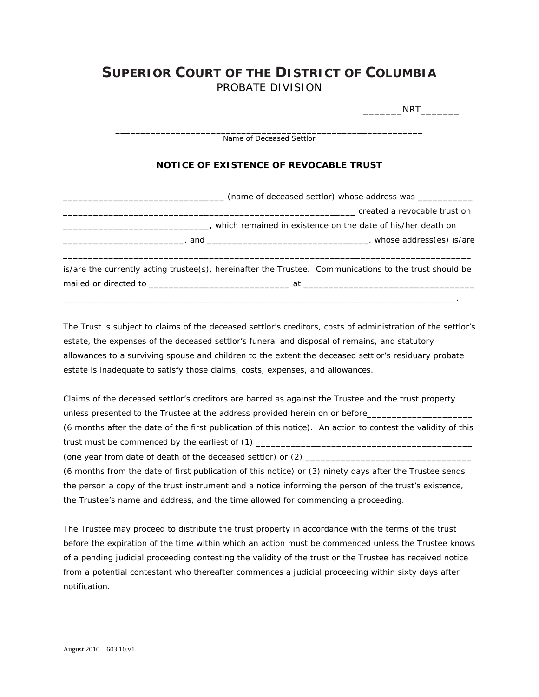## **SUPERIOR COURT OF THE DISTRICT OF COLUMBIA** PROBATE DIVISION

 $\rule{1em}{0.15mm}\nNRT$ 

\_\_\_\_\_\_\_\_\_\_\_\_\_\_\_\_\_\_\_\_\_\_\_\_\_\_\_\_\_\_\_\_\_\_\_\_\_\_\_\_\_\_\_\_\_\_\_\_\_\_\_\_\_\_\_\_\_\_\_\_\_ Name of Deceased Settlor **NOTICE OF EXISTENCE OF REVOCABLE TRUST**  \_\_\_\_\_\_\_\_\_\_\_\_\_\_\_\_\_\_\_\_\_\_\_\_\_\_\_\_\_\_\_\_ (name of deceased settlor) whose address was \_\_\_\_\_\_\_\_\_\_\_  $\Gamma$  created a revocable trust on \_\_\_\_\_\_\_\_\_\_\_\_\_\_\_\_\_\_\_\_\_\_\_\_\_\_\_\_\_, which remained in existence on the date of his/her death on \_\_\_\_\_\_\_\_\_\_\_\_\_\_\_\_\_\_\_\_\_\_\_\_, and \_\_\_\_\_\_\_\_\_\_\_\_\_\_\_\_\_\_\_\_\_\_\_\_\_\_\_\_\_\_\_\_, whose address(es) is/are \_\_\_\_\_\_\_\_\_\_\_\_\_\_\_\_\_\_\_\_\_\_\_\_\_\_\_\_\_\_\_\_\_\_\_\_\_\_\_\_\_\_\_\_\_\_\_\_\_\_\_\_\_\_\_\_\_\_\_\_\_\_\_\_\_\_\_\_\_\_\_\_\_\_\_\_\_\_\_\_\_ is/are the currently acting trustee(s), hereinafter the Trustee. Communications to the trust should be mailed or directed to \_\_\_\_\_\_\_\_\_\_\_\_\_\_\_\_\_\_\_\_\_\_\_\_\_\_\_\_ at \_\_\_\_\_\_\_\_\_\_\_\_\_\_\_\_\_\_\_\_\_\_\_\_\_\_\_\_\_\_\_\_\_\_

The Trust is subject to claims of the deceased settlor's creditors, costs of administration of the settlor's estate, the expenses of the deceased settlor's funeral and disposal of remains, and statutory allowances to a surviving spouse and children to the extent the deceased settlor's residuary probate estate is inadequate to satisfy those claims, costs, expenses, and allowances.

\_\_\_\_\_\_\_\_\_\_\_\_\_\_\_\_\_\_\_\_\_\_\_\_\_\_\_\_\_\_\_\_\_\_\_\_\_\_\_\_\_\_\_\_\_\_\_\_\_\_\_\_\_\_\_\_\_\_\_\_\_\_\_\_\_\_\_\_\_\_\_\_\_\_\_\_\_\_.

Claims of the deceased settlor's creditors are barred as against the Trustee and the trust property unless presented to the Trustee at the address provided herein on or before\_\_\_\_\_\_\_\_\_\_\_\_\_\_\_\_\_\_\_\_\_\_\_\_\_\_\_\_\_\_\_\_\_\_

(6 months after the date of the first publication of this notice). An action to contest the validity of this trust must be commenced by the *earliest* of (1) \_\_\_\_\_\_\_\_\_\_\_\_\_\_\_\_\_\_\_\_\_\_\_\_\_\_\_\_\_\_\_\_\_\_\_\_\_\_\_\_\_\_\_

(one year from date of death of the deceased settlor) or  $(2)$ 

(6 months from the date of first publication of this notice) or (3) ninety days after the Trustee sends the person a copy of the trust instrument and a notice informing the person of the trust's existence, the Trustee's name and address, and the time allowed for commencing a proceeding.

The Trustee may proceed to distribute the trust property in accordance with the terms of the trust before the expiration of the time within which an action must be commenced unless the Trustee knows of a pending judicial proceeding contesting the validity of the trust or the Trustee has received notice from a potential contestant who thereafter commences a judicial proceeding within sixty days after notification.